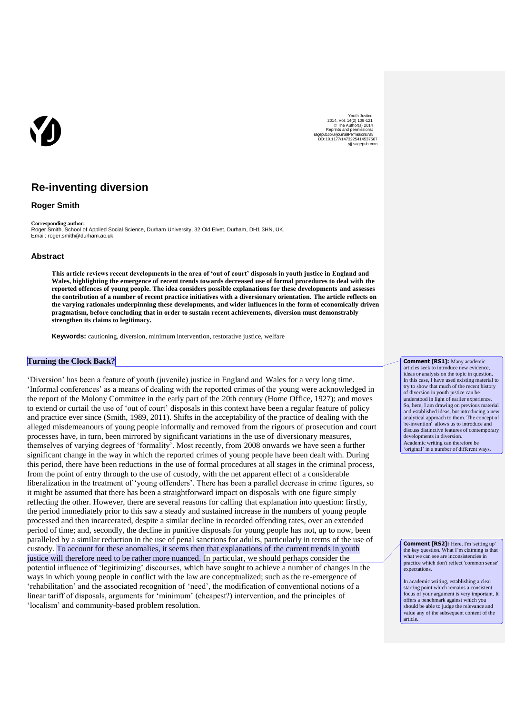

Youth Justice 2014, Vol. 14(2) 109-121 © The Author(s) 2014 Reprints and permissions: sagepub.co.uk/journalsPermissions.nav DOI: 10.1177/1473225414537567 yjj.sagepub.com

# **Re-inventing diversion**

# **Roger Smith**

**Corresponding author:**

Roger Smith, School of Applied Social Science, Durham University, 32 Old Elvet, Durham, DH1 3HN, UK. Email: roger.smith@durham.ac.uk

## **Abstract**

**This article reviews recent developments in the area of 'out of court' disposals in youth justice in England and Wales, highlighting the emergence of recent trends towards decreased use of formal procedures to deal with the reported offences of young people. The idea considers possible explanations for these developments and assesses the contribution of a number of recent practice initiatives with a diversionary orientation. The article reflects on the varying rationales underpinning these developments, and wider influences in the form of economically driven pragmatism, before concluding that in order to sustain recent achievements, diversion must demonstrably strengthen its claims to legitimacy.**

**Keywords:** cautioning, diversion, minimum intervention, restorative justice, welfare

#### **Turning the Clock Back?**

'Diversion' has been a feature of youth (juvenile) justice in England and Wales for a very long time. 'Informal conferences' as a means of dealing with the reported crimes of the young were acknowledged in the report of the Molony Committee in the early part of the 20th century (Home Office, 1927); and moves to extend or curtail the use of 'out of court' disposals in this context have been a regular feature of policy and practice ever since (Smith, 1989, 2011). Shifts in the acceptability of the practice of dealing with the alleged misdemeanours of young people informally and removed from the rigours of prosecution and court processes have, in turn, been mirrored by significant variations in the use of diversionary measures, themselves of varying degrees of 'formality'. Most recently, from 2008 onwards we have seen a further significant change in the way in which the reported crimes of young people have been dealt with. During this period, there have been reductions in the use of formal procedures at all stages in the criminal process, from the point of entry through to the use of custody, with the net apparent effect of a considerable liberalization in the treatment of 'young offenders'. There has been a parallel decrease in crime figures, so it might be assumed that there has been a straightforward impact on disposals with one figure simply reflecting the other. However, there are several reasons for calling that explanation into question: firstly, the period immediately prior to this saw a steady and sustained increase in the numbers of young people processed and then incarcerated, despite a similar decline in recorded offending rates, over an extended period of time; and, secondly, the decline in punitive disposals for young people has not, up to now, been paralleled by a similar reduction in the use of penal sanctions for adults, particularly in terms of the use of custody. To account for these anomalies, it seems then that explanations of the current trends in youth justice will therefore need to be rather more nuanced. In particular, we should perhaps consider the potential influence of 'legitimizing' discourses, which have sought to achieve a number of changes in the ways in which young people in conflict with the law are conceptualized; such as the re-emergence of 'rehabilitation' and the associated recognition of 'need', the modification of conventional notions of a linear tariff of disposals, arguments for 'minimum' (cheapest?) intervention, and the principles of 'localism' and community-based problem resolution.

**Comment [RS1]:** Many academic articles seek to introduce new evidence, ideas or analysis on the topic in question. In this case, I have used existing material to try to show that much of the recent history of diversion in youth justice can be understood in light of earlier experience. So, here, I am drawing on previous material and established ideas, but introducing a new analytical approach to them. The concept of 're-invention' allows us to introduce and discuss distinctive features of contemporary developments in diversion. Academic writing can therefore be 'original' in a number of different ways.

**Comment [RS2]:** Here, I'm 'setting up' the key question. What I'm claiming is that what we can see are inconsistencies in practice which don't reflect 'common sense' expectations.

In academic writing, establishing a clear starting point which remains a consistent focus of your argument is very important. It offers a benchmark against which you should be able to judge the relevance and value any of the subsequent content of the article.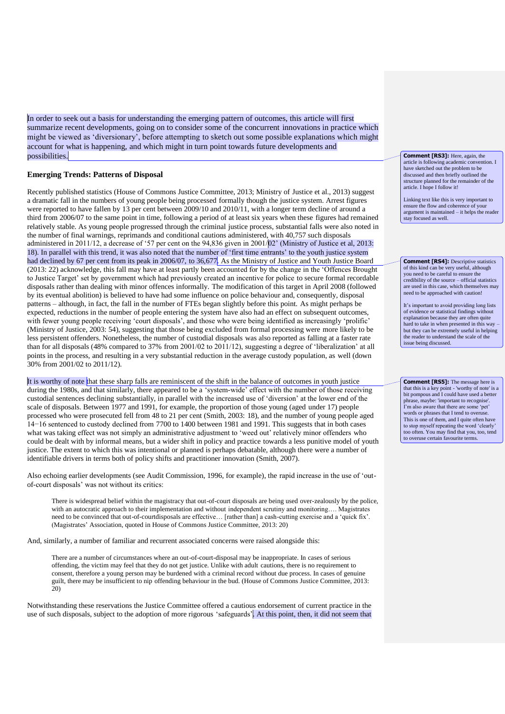In order to seek out a basis for understanding the emerging pattern of outcomes, this article will first summarize recent developments, going on to consider some of the concurrent innovations in practice which might be viewed as 'diversionary', before attempting to sketch out some possible explanations which might account for what is happening, and which might in turn point towards future developments and possibilities.

# **Emerging Trends: Patterns of Disposal**

Recently published statistics (House of Commons Justice Committee, 2013; Ministry of Justice et al., 2013) suggest a dramatic fall in the numbers of young people being processed formally though the justice system. Arrest figures were reported to have fallen by 13 per cent between 2009/10 and 2010/11, with a longer term decline of around a third from 2006/07 to the same point in time, following a period of at least six years when these figures had remained relatively stable. As young people progressed through the criminal justice process, substantial falls were also noted in the number of final warnings, reprimands and conditional cautions administered, with 40,757 such disposals administered in 2011/12, a decrease of '57 per cent on the 94,836 given in 2001/02' (Ministry of Justice et al, 2013: 18). In parallel with this trend, it was also noted that the number of 'first time entrants' to the youth justice system had declined by 67 per cent from its peak in 2006/07, to 36,677. As the Ministry of Justice and Youth Justice Board (2013: 22) acknowledge, this fall may have at least partly been accounted for by the change in the 'Offences Brought to Justice Target' set by government which had previously created an incentive for police to secure formal recordable disposals rather than dealing with minor offences informally. The modification of this target in April 2008 (followed by its eventual abolition) is believed to have had some influence on police behaviour and, consequently, disposal patterns – although, in fact, the fall in the number of FTEs began slightly before this point. As might perhaps be expected, reductions in the number of people entering the system have also had an effect on subsequent outcomes, with fewer young people receiving 'court disposals', and those who were being identified as increasingly 'prolific' (Ministry of Justice, 2003: 54), suggesting that those being excluded from formal processing were more likely to be less persistent offenders. Nonetheless, the number of custodial disposals was also reported as falling at a faster rate than for all disposals (48% compared to 37% from 2001/02 to 2011/12), suggesting a degree of 'liberalization' at all points in the process, and resulting in a very substantial reduction in the average custody population, as well (down 30% from 2001/02 to 2011/12).

It is worthy of note that these sharp falls are reminiscent of the shift in the balance of outcomes in youth justice during the 1980s, and that similarly, there appeared to be a 'system-wide' effect with the number of those receiving custodial sentences declining substantially, in parallel with the increased use of 'diversion' at the lower end of the scale of disposals. Between 1977 and 1991, for example, the proportion of those young (aged under 17) people processed who were prosecuted fell from 48 to 21 per cent (Smith, 2003: 18), and the number of young people aged 14−16 sentenced to custody declined from 7700 to 1400 between 1981 and 1991. This suggests that in both cases what was taking effect was not simply an administrative adjustment to 'weed out' relatively minor offenders who could be dealt with by informal means, but a wider shift in policy and practice towards a less punitive model of youth justice. The extent to which this was intentional or planned is perhaps debatable, although there were a number of identifiable drivers in terms both of policy shifts and practitioner innovation (Smith, 2007).

Also echoing earlier developments (see Audit Commission, 1996, for example), the rapid increase in the use of 'outof-court disposals' was not without its critics:

There is widespread belief within the magistracy that out-of-court disposals are being used over-zealously by the police, with an autocratic approach to their implementation and without independent scrutiny and monitoring…. Magistrates need to be convinced that out-of-courtdisposals are effective… [rather than] a cash-cutting exercise and a 'quick fix'. (Magistrates' Association, quoted in House of Commons Justice Committee, 2013: 20)

And, similarly, a number of familiar and recurrent associated concerns were raised alongside this:

There are a number of circumstances where an out-of-court-disposal may be inappropriate. In cases of serious offending, the victim may feel that they do not get justice. Unlike with adult cautions, there is no requirement to consent, therefore a young person may be burdened with a criminal record without due process. In cases of genuine guilt, there may be insufficient to nip offending behaviour in the bud. (House of Commons Justice Committee, 2013: 20)

Notwithstanding these reservations the Justice Committee offered a cautious endorsement of current practice in the use of such disposals, subject to the adoption of more rigorous 'safeguards'. At this point, then, it did not seem that **Comment [RS3]:** Here, again, the article is following academic convention. I have sketched out the problem to be discussed and then briefly outlined the structure planned for the remainder of the article. I hope I follow it!

Linking text like this is very important to ensure the flow and coherence of your argument is maintained – it helps the reader stay focused as well.

**Comment [RS4]: Descriptive statistics** of this kind can be very useful, although you need to be careful to ensure the credibility of the source – official statistics are used in this case, which themselves may need to be approached with caution!

It's important to avoid providing long lists of evidence or statistical findings without explanation because they are often quite hard to take in when presented in this way – but they can be extremely useful in helping the reader to understand the scale of the issue being discussed.

**Comment [RS5]:** The message here is that this is a key point - 'worthy of note' is a bit pompous and I could have used a better phrase, maybe: 'important to recognise'. I'm also aware that there are some 'pet' words or phrases that I tend to overuse. This is one of them, and I quite often have to stop myself repeating the word 'clearly' too often. You may find that you, too, tend to overuse certain favourite terms.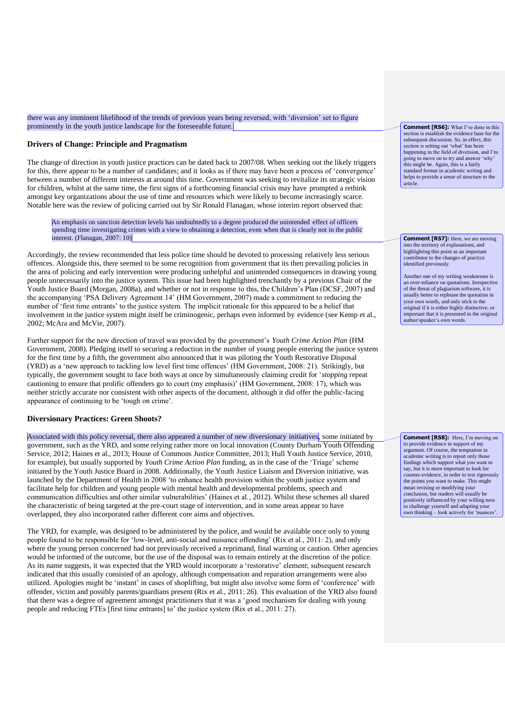there was any imminent likelihood of the trends of previous years being reversed, with 'diversion' set to figure prominently in the youth justice landscape for the foreseeable future.

### **Drivers of Change: Principle and Pragmatism**

The change of direction in youth justice practices can be dated back to 2007/08. When seeking out the likely triggers for this, there appear to be a number of candidates; and it looks as if there may have been a process of 'convergence' between a number of different interests at around this time. Government was seeking to revitalize its strategic vision for children, whilst at the same time, the first signs of a forthcoming financial crisis may have prompted a rethink amongst key organizations about the use of time and resources which were likely to become increasingly scarce. Notable here was the review of policing carried out by Sir Ronald Flanagan, whose interim report observed that:

An emphasis on sanction detection levels has undoubtedly to a degree produced the unintended effect of officers spending time investigating crimes with a view to obtaining a detection, even when that is clearly not in the public interest. (Flanagan, 2007: 10)

Accordingly, the review recommended that less police time should be devoted to processing relatively less serious offences. Alongside this, there seemed to be some recognition from government that its then prevailing policies in the area of policing and early intervention were producing unhelpful and unintended consequences in drawing young people unnecessarily into the justice system. This issue had been highlighted trenchantly by a previous Chair of the Youth Justice Board (Morgan, 2008a), and whether or not in response to this, the Children's Plan (DCSF, 2007) and the accompanying 'PSA Delivery Agreement 14' (HM Government, 2007) made a commitment to reducing the number of 'first time entrants' to the justice system. The implicit rationale for this appeared to be a belief that involvement in the justice system might itself be criminogenic, perhaps even informed by evidence (see Kemp et al., 2002; McAra and McVie, 2007).

Further support for the new direction of travel was provided by the government's *Youth Crime Action Plan* (HM Government, 2008). Pledging itself to securing a reduction in the number of young people entering the justice system for the first time by a fifth, the government also announced that it was piloting the Youth Restorative Disposal (YRD) as a 'new approach to tackling low level first time offences' (HM Government, 2008: 21). Strikingly, but typically, the government sought to face both ways at once by simultaneously claiming credit for '*stopping* repeat cautioning to ensure that prolific offenders go to court (my emphasis)' (HM Government, 2008: 17), which was neither strictly accurate nor consistent with other aspects of the document, although it did offer the public-facing appearance of continuing to be 'tough on crime'.

#### **Diversionary Practices: Green Shoots?**

Associated with this policy reversal, there also appeared a number of new diversionary initiatives, some initiated by government, such as the YRD, and some relying rather more on local innovation (County Durham Youth Offending Service, 2012; Haines et al., 2013; House of Commons Justice Committee, 2013; Hull Youth Justice Service, 2010, for example), but usually supported by *Youth Crime Action Plan* funding, as in the case of the 'Triage' scheme initiated by the Youth Justice Board in 2008. Additionally, the Youth Justice Liaison and Diversion initiative, was launched by the Department of Health in 2008 'to enhance health provision within the youth justice system and facilitate help for children and young people with mental health and developmental problems, speech and communication difficulties and other similar vulnerabilities' (Haines et al., 2012). Whilst these schemes all shared the characteristic of being targeted at the pre-court stage of intervention, and in some areas appear to have overlapped, they also incorporated rather different core aims and objectives.

The YRD, for example, was designed to be administered by the police, and would be available once only to young people found to be responsible for 'low-level, anti-social and nuisance offending' (Rix et al., 2011: 2), and only where the young person concerned had not previously received a reprimand, final warning or caution. Other agencies would be informed of the outcome, but the use of the disposal was to remain entirely at the discretion of the police. As its name suggests, it was expected that the YRD would incorporate a 'restorative' element; subsequent research indicated that this usually consisted of an apology, although compensation and reparation arrangements were also utilized. Apologies might be 'instant' in cases of shoplifting, but might also involve some form of 'conference' with offender, victim and possibly parents/guardians present (Rix et al., 2011: 26). This evaluation of the YRD also found that there was a degree of agreement amongst practitioners that it was a 'good mechanism for dealing with young people and reducing FTEs [first time entrants] to' the justice system (Rix et al., 2011: 27).

**Comment [RS6]:** What I've done in this section is establish the evidence base for the subsequent discussion. So, in effect, this section is setting out 'what' has been happening in the field of diversion, and I'm going to move on to try and answer 'why' this might be. Again, this is a fairly standard format in academic writing and helps to provide a sense of structure to the article.

**Comment [RS7]:** Here, we are moving into the territory of explanations, and highlighting this point as an important contributor to the changes of practice identified previously.

Another one of my writing weaknesses is an over-reliance on quotations. Irrespective of the threat of plagiarism software, it is usually better to rephrase the quotation in your own words, and only stick to the original if it is either highly distinctive, or important that it is presented in the original author/speaker's own words.

**Comment [RS8]:** Here, I'm moving on to provide evidence in support of my argument. Of course, the temptation in ademic writing is to report only those findings which support what you want to say, but it is more important to look for counter-evidence, in order to test rigorously the points you want to make. This might mean revising or modifying your conclusion, but readers will usually be positively influenced by your willing ness to challenge yourself and adapting your own thinking – look actively for 'nuances'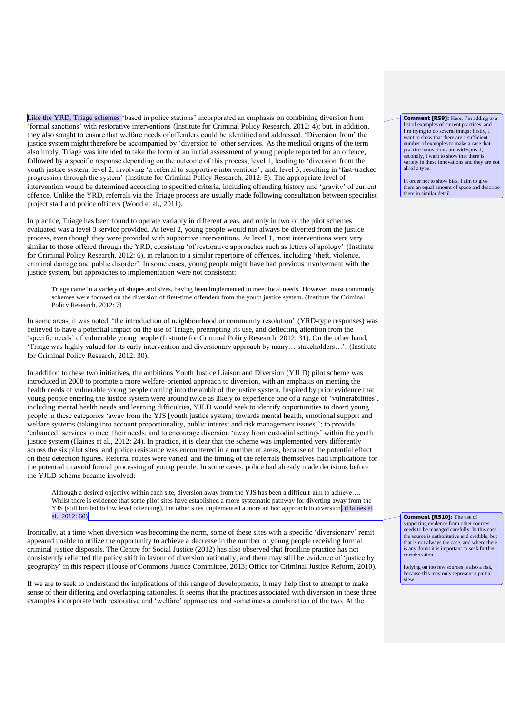Like the YRD, Triage schemes 'based in police stations' incorporated an emphasis on combining diversion from 'formal sanctions' with restorative interventions (Institute for Criminal Policy Research, 2012: 4); but, in addition, they also sought to ensure that welfare needs of offenders could be identified and addressed. 'Diversion from' the justice system might therefore be accompanied by 'diversion to' other services. As the medical origins of the term also imply, Triage was intended to take the form of an initial assessment of young people reported for an offence, followed by a specific response depending on the outcome of this process; level 1, leading to 'diversion from the youth justice system; level 2, involving 'a referral to supportive interventions'; and, level 3, resulting in 'fast-tracked progression through the system' (Institute for Criminal Policy Research, 2012: 5). The appropriate level of intervention would be determined according to specified criteria, including offending history and 'gravity' of current offence. Unlike the YRD, referrals via the Triage process are usually made following consultation between specialist project staff and police officers (Wood et al., 2011).

In practice, Triage has been found to operate variably in different areas, and only in two of the pilot schemes evaluated was a level 3 service provided. At level 2, young people would not always be diverted from the justice process, even though they were provided with supportive interventions. At level 1, most interventions were very similar to those offered through the YRD, consisting 'of restorative approaches such as letters of apology' (Institute for Criminal Policy Research, 2012: 6), in relation to a similar repertoire of offences, including 'theft, violence, criminal damage and public disorder'. In some cases, young people might have had previous involvement with the justice system, but approaches to implementation were not consistent:

Triage came in a variety of shapes and sizes, having been implemented to meet local needs. However, most commonly schemes were focused on the diversion of first-time offenders from the youth justice system. (Institute for Criminal Policy Research, 2012: 7)

In some areas, it was noted, 'the introduction of neighbourhood or community resolution' (YRD-type responses) was believed to have a potential impact on the use of Triage, preempting its use, and deflecting attention from the 'specific needs' of vulnerable young people (Institute for Criminal Policy Research, 2012: 31). On the other hand, 'Triage was highly valued for its early intervention and diversionary approach by many… stakeholders…'. (Institute for Criminal Policy Research, 2012: 30).

In addition to these two initiatives, the ambitious Youth Justice Liaison and Diversion (YJLD) pilot scheme was introduced in 2008 to promote a more welfare-oriented approach to diversion, with an emphasis on meeting the health needs of vulnerable young people coming into the ambit of the justice system. Inspired by prior evidence that young people entering the justice system were around twice as likely to experience one of a range of 'vulnerabilities', including mental health needs and learning difficulties, YJLD would seek to identify opportunities to divert young people in these categories 'away from the YJS [youth justice system] towards mental health, emotional support and welfare systems (taking into account proportionality, public interest and risk management issues)'; to provide 'enhanced' services to meet their needs; and to encourage diversion 'away from custodial settings' within the youth justice system (Haines et al., 2012: 24). In practice, it is clear that the scheme was implemented very differently across the six pilot sites, and police resistance was encountered in a number of areas, because of the potential effect on their detection figures. Referral routes were varied, and the timing of the referrals themselves had implications for the potential to avoid formal processing of young people. In some cases, police had already made decisions before the YJLD scheme became involved:

Although a desired objective within each site, diversion away from the YJS has been a difficult aim to achieve…. Whilst there is evidence that some pilot sites have established a more systematic pathway for diverting away from the YJS (still limited to low level offending), the other sites implemented a more ad hoc approach to diversion. (Haines et al., 2012: 60)

Ironically, at a time when diversion was becoming the norm, some of these sites with a specific 'diversionary' remit appeared unable to utilize the opportunity to achieve a decrease in the number of young people receiving formal criminal justice disposals. The Centre for Social Justice (2012) has also observed that frontline practice has not consistently reflected the policy shift in favour of diversion nationally; and there may still be evidence of 'justice by geography' in this respect (House of Commons Justice Committee, 2013; Office for Criminal Justice Reform, 2010).

If we are to seek to understand the implications of this range of developments, it may help first to attempt to make sense of their differing and overlapping rationales. It seems that the practices associated with diversion in these three examples incorporate both restorative and 'welfare' approaches, and sometimes a combination of the two. At the

**Comment [RS9]:** Here, I'm adding to a list of examples of current practices, and I'm trying to do several things: firstly, I want to show that there are a sufficient number of examples to make a case that practice innovations are widespread; secondly, I want to show that there is variety in these innovations and they are not all of a type.

In order not to show bias, I aim to give them an equal amount of space and describe them in similar detail.

#### **Comment [RS10]:** The use of

supporting evidence from other sources needs to be managed carefully. In this case the source is authoritative and credible, but that is not always the case, and where there is any doubt it is important to seek further corroboration.

Relying on too few sources is also a risk, because this may only represent a partial view.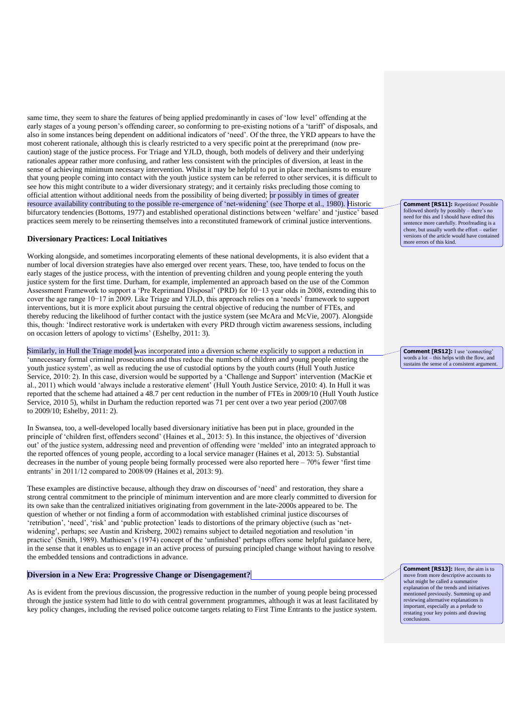same time, they seem to share the features of being applied predominantly in cases of 'low level' offending at the early stages of a young person's offending career, so conforming to pre-existing notions of a 'tariff' of disposals, and also in some instances being dependent on additional indicators of 'need'. Of the three, the YRD appears to have the most coherent rationale, although this is clearly restricted to a very specific point at the prereprimand (now precaution) stage of the justice process. For Triage and YJLD, though, both models of delivery and their underlying rationales appear rather more confusing, and rather less consistent with the principles of diversion, at least in the sense of achieving minimum necessary intervention. Whilst it may be helpful to put in place mechanisms to ensure that young people coming into contact with the youth justice system can be referred to other services, it is difficult to see how this might contribute to a wider diversionary strategy; and it certainly risks precluding those coming to official attention without additional needs from the possibility of being diverted; or possibly in times of greater resource availability contributing to the possible re-emergence of 'net-widening' (see Thorpe et al., 1980). Historic bifurcatory tendencies (Bottoms, 1977) and established operational distinctions between 'welfare' and 'justice' based practices seem merely to be reinserting themselves into a reconstituted framework of criminal justice interventions.

#### **Diversionary Practices: Local Initiatives**

Working alongside, and sometimes incorporating elements of these national developments, it is also evident that a number of local diversion strategies have also emerged over recent years. These, too, have tended to focus on the early stages of the justice process, with the intention of preventing children and young people entering the youth justice system for the first time. Durham, for example, implemented an approach based on the use of the Common Assessment Framework to support a 'Pre Reprimand Disposal' (PRD) for 10−13 year olds in 2008, extending this to cover the age range 10−17 in 2009. Like Triage and YJLD, this approach relies on a 'needs' framework to support interventions, but it is more explicit about pursuing the central objective of reducing the number of FTEs, and thereby reducing the likelihood of further contact with the justice system (see McAra and McVie, 2007). Alongside this, though: 'Indirect restorative work is undertaken with every PRD through victim awareness sessions, including on occasion letters of apology to victims' (Eshelby, 2011: 3).

Similarly, in Hull the Triage model was incorporated into a diversion scheme explicitly to support a reduction in 'unnecessary formal criminal prosecutions and thus reduce the numbers of children and young people entering the youth justice system', as well as reducing the use of custodial options by the youth courts (Hull Youth Justice Service, 2010: 2). In this case, diversion would be supported by a 'Challenge and Support' intervention (MacKie et al., 2011) which would 'always include a restorative element' (Hull Youth Justice Service, 2010: 4). In Hull it was reported that the scheme had attained a 48.7 per cent reduction in the number of FTEs in 2009/10 (Hull Youth Justice Service, 2010 5), whilst in Durham the reduction reported was 71 per cent over a two year period (2007/08 to 2009/10; Eshelby, 2011: 2).

In Swansea, too, a well-developed locally based diversionary initiative has been put in place, grounded in the principle of 'children first, offenders second' (Haines et al., 2013: 5). In this instance, the objectives of 'diversion out' of the justice system, addressing need and prevention of offending were 'melded' into an integrated approach to the reported offences of young people, according to a local service manager (Haines et al, 2013: 5). Substantial decreases in the number of young people being formally processed were also reported here – 70% fewer 'first time entrants' in 2011/12 compared to 2008/09 (Haines et al, 2013: 9).

These examples are distinctive because, although they draw on discourses of 'need' and restoration, they share a strong central commitment to the principle of minimum intervention and are more clearly committed to diversion for its own sake than the centralized initiatives originating from government in the late-2000s appeared to be. The question of whether or not finding a form of accommodation with established criminal justice discourses of 'retribution', 'need', 'risk' and 'public protection' leads to distortions of the primary objective (such as 'netwidening', perhaps; see Austin and Krisberg, 2002) remains subject to detailed negotiation and resolution 'in practice' (Smith, 1989). Mathiesen's (1974) concept of the 'unfinished' perhaps offers some helpful guidance here, in the sense that it enables us to engage in an active process of pursuing principled change without having to resolve the embedded tensions and contradictions in advance.

### **Diversion in a New Era: Progressive Change or Disengagement?**

As is evident from the previous discussion, the progressive reduction in the number of young people being processed through the justice system had little to do with central government programmes, although it was at least facilitated by key policy changes, including the revised police outcome targets relating to First Time Entrants to the justice system.

**Comment [RS11]:** Repetition! Possible followed shortly by possibly – there's no need for this and I should have edited this sentence more carefully. Proofreading is a chore, but usually worth the effort – earlier versions of the article would have contained more errors of this kind.

**Comment [RS12]:** I use 'connecting words a lot – this helps with the flow, and sustains the sense of a consistent argument.

**Comment [RS13]:** Here, the aim is to move from more descriptive accounts to what might be called a summative explanation of the trends and initiatives mentioned previously. Summing up and reviewing alternative explanations is important, especially as a prelude to restating your key points and drawing conclusions.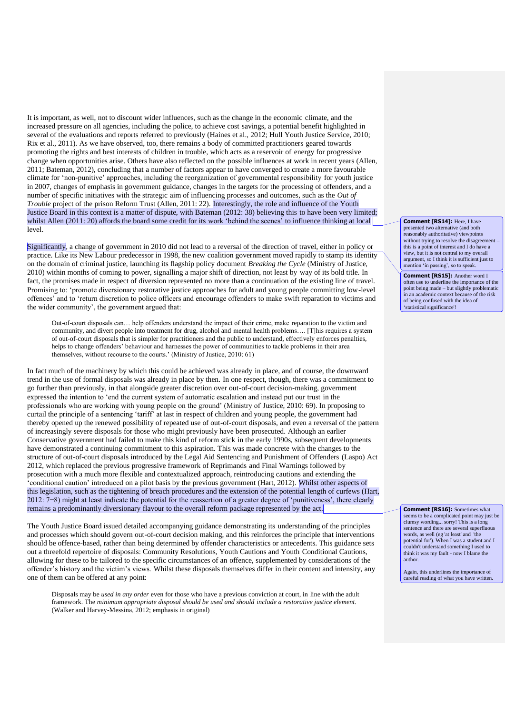It is important, as well, not to discount wider influences, such as the change in the economic climate, and the increased pressure on all agencies, including the police, to achieve cost savings, a potential benefit highlighted in several of the evaluations and reports referred to previously (Haines et al., 2012; Hull Youth Justice Service, 2010; Rix et al., 2011). As we have observed, too, there remains a body of committed practitioners geared towards promoting the rights and best interests of children in trouble, which acts as a reservoir of energy for progressive change when opportunities arise. Others have also reflected on the possible influences at work in recent years (Allen, 2011; Bateman, 2012), concluding that a number of factors appear to have converged to create a more favourable climate for 'non-punitive' approaches, including the reorganization of governmental responsibility for youth justice in 2007, changes of emphasis in government guidance, changes in the targets for the processing of offenders, and a number of specific initiatives with the strategic aim of influencing processes and outcomes, such as the *Out of Trouble* project of the prison Reform Trust (Allen, 2011: 22). Interestingly, the role and influence of the Youth Justice Board in this context is a matter of dispute, with Bateman (2012: 38) believing this to have been very limited; whilst Allen (2011: 20) affords the board some credit for its work 'behind the scenes' to influence thinking at local level.

Significantly, a change of government in 2010 did not lead to a reversal of the direction of travel, either in policy or practice. Like its New Labour predecessor in 1998, the new coalition government moved rapidly to stamp its identity on the domain of criminal justice, launching its flagship policy document *Breaking the Cycle* (Ministry of Justice, 2010) within months of coming to power, signalling a major shift of direction, not least by way of its bold title. In fact, the promises made in respect of diversion represented no more than a continuation of the existing line of travel. Promising to: 'promote diversionary restorative justice approaches for adult and young people committing low-level offences' and to 'return discretion to police officers and encourage offenders to make swift reparation to victims and the wider community', the government argued that:

Out-of-court disposals can… help offenders understand the impact of their crime, make reparation to the victim and community, and divert people into treatment for drug, alcohol and mental health problems…. [T]his requires a system of out-of-court disposals that is simpler for practitioners and the public to understand, effectively enforces penalties, helps to change offenders' behaviour and harnesses the power of communities to tackle problems in their area themselves, without recourse to the courts.' (Ministry of Justice, 2010: 61)

In fact much of the machinery by which this could be achieved was already in place, and of course, the downward trend in the use of formal disposals was already in place by then. In one respect, though, there was a commitment to go further than previously, in that alongside greater discretion over out-of-court decision-making, government expressed the intention to 'end the current system of automatic escalation and instead put our trust in the professionals who are working with young people on the ground' (Ministry of Justice, 2010: 69). In proposing to curtail the principle of a sentencing 'tariff' at last in respect of children and young people, the government had thereby opened up the renewed possibility of repeated use of out-of-court disposals, and even a reversal of the pattern of increasingly severe disposals for those who might previously have been prosecuted. Although an earlier Conservative government had failed to make this kind of reform stick in the early 1990s, subsequent developments have demonstrated a continuing commitment to this aspiration. This was made concrete with the changes to the structure of out-of-court disposals introduced by the Legal Aid Sentencing and Punishment of Offenders (Laspo) Act 2012, which replaced the previous progressive framework of Reprimands and Final Warnings followed by prosecution with a much more flexible and contextualized approach, reintroducing cautions and extending the 'conditional caution' introduced on a pilot basis by the previous government (Hart, 2012). Whilst other aspects of this legislation, such as the tightening of breach procedures and the extension of the potential length of curfews (Hart, 2012: 7−8) might at least indicate the potential for the reassertion of a greater degree of 'punitiveness', there clearly remains a predominantly diversionary flavour to the overall reform package represented by the act.

The Youth Justice Board issued detailed accompanying guidance demonstrating its understanding of the principles and processes which should govern out-of-court decision making, and this reinforces the principle that interventions should be offence-based, rather than being determined by offender characteristics or antecedents. This guidance sets out a threefold repertoire of disposals: Community Resolutions, Youth Cautions and Youth Conditional Cautions, allowing for these to be tailored to the specific circumstances of an offence, supplemented by considerations of the offender's history and the victim's views. Whilst these disposals themselves differ in their content and intensity, any one of them can be offered at any point:

Disposals may be *used in any order* even for those who have a previous conviction at court, in line with the adult framework. The *minimum appropriate disposal should be used and should include a restorative justice element.*  (Walker and Harvey-Messina, 2012; emphasis in original)

**Comment [RS14]:** Here, I have presented two alternative (and both reasonably authoritative) viewpoints without trying to resolve the disagreement this is a point of interest and I do have a view, but it is not central to my overall argument, so I think it is sufficient just to mention 'in passing', so to speak.

**Comment [RS15]:** Another word I often use to underline the importance of the point being made – but slightly problematic in an academic context because of the risk of being confused with the idea of 'statistical significance'!

**Comment [RS16]:** Sometimes what seems to be a complicated point may just be clumsy wording... sorry! This is a long sentence and there are several superfluous words, as well (eg 'at least' and 'the potential for'). When I was a student and I couldn't understand something I used to think it was my fault - now I blame the author.

Again, this underlines the importance of careful reading of what you have written.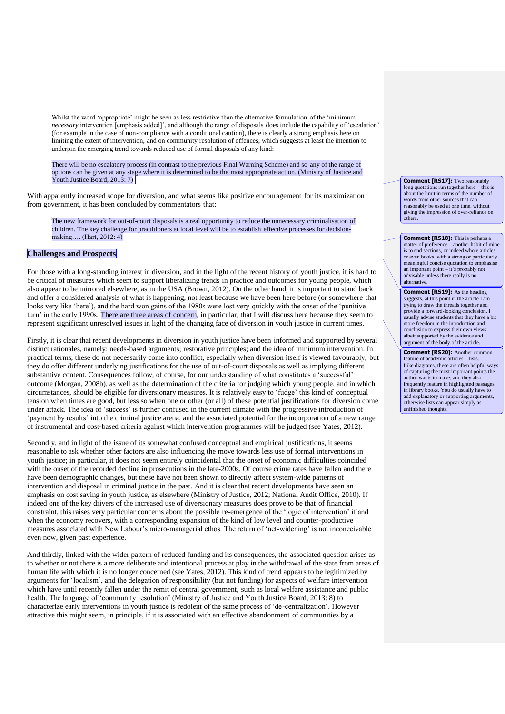Whilst the word 'appropriate' might be seen as less restrictive than the alternative formulation of the 'minimum *necessary* intervention [emphasis added]', and although the range of disposals does include the capability of 'escalation' (for example in the case of non-compliance with a conditional caution), there is clearly a strong emphasis here on limiting the extent of intervention, and on community resolution of offences, which suggests at least the intention to underpin the emerging trend towards reduced use of formal disposals of any kind:

There will be no escalatory process (in contrast to the previous Final Warning Scheme) and so any of the range of options can be given at any stage where it is determined to be the most appropriate action. (Ministry of Justice and Youth Justice Board, 2013: 7)

With apparently increased scope for diversion, and what seems like positive encouragement for its maximization from government, it has been concluded by commentators that:

The new framework for out-of-court disposals is a real opportunity to reduce the unnecessary criminalisation of children. The key challenge for practitioners at local level will be to establish effective processes for decisionmaking…. (Hart, 2012: 4)

#### **Challenges and Prospects**

For those with a long-standing interest in diversion, and in the light of the recent history of youth justice, it is hard to be critical of measures which seem to support liberalizing trends in practice and outcomes for young people, which also appear to be mirrored elsewhere, as in the USA (Brown, 2012). On the other hand, it is important to stand back and offer a considered analysis of what is happening, not least because we have been here before (or somewhere that looks very like 'here'), and the hard won gains of the 1980s were lost very quickly with the onset of the 'punitive turn' in the early 1990s. There are three areas of concern, in particular, that I will discuss here because they seem to represent significant unresolved issues in light of the changing face of diversion in youth justice in current times.

Firstly, it is clear that recent developments in diversion in youth justice have been informed and supported by several distinct rationales, namely: needs-based arguments; restorative principles; and the idea of minimum intervention. In practical terms, these do not necessarily come into conflict, especially when diversion itself is viewed favourably, but they do offer different underlying justifications for the use of out-of-court disposals as well as implying different substantive content. Consequences follow, of course, for our understanding of what constitutes a 'successful' outcome (Morgan, 2008b), as well as the determination of the criteria for judging which young people, and in which circumstances, should be eligible for diversionary measures. It is relatively easy to 'fudge' this kind of conceptual tension when times are good, but less so when one or other (or all) of these potential justifications for diversion come under attack. The idea of 'success' is further confused in the current climate with the progressive introduction of 'payment by results' into the criminal justice arena, and the associated potential for the incorporation of a new range of instrumental and cost-based criteria against which intervention programmes will be judged (see Yates, 2012).

Secondly, and in light of the issue of its somewhat confused conceptual and empirical justifications, it seems reasonable to ask whether other factors are also influencing the move towards less use of formal interventions in youth justice; in particular, it does not seem entirely coincidental that the onset of economic difficulties coincided with the onset of the recorded decline in prosecutions in the late-2000s. Of course crime rates have fallen and there have been demographic changes, but these have not been shown to directly affect system-wide patterns of intervention and disposal in criminal justice in the past. And it is clear that recent developments have seen an emphasis on cost saving in youth justice, as elsewhere (Ministry of Justice, 2012; National Audit Office, 2010). If indeed one of the key drivers of the increased use of diversionary measures does prove to be that of financial constraint, this raises very particular concerns about the possible re-emergence of the 'logic of intervention' if and when the economy recovers, with a corresponding expansion of the kind of low level and counter-productive measures associated with New Labour's micro-managerial ethos. The return of 'net-widening' is not inconceivable even now, given past experience.

And thirdly, linked with the wider pattern of reduced funding and its consequences, the associated question arises as to whether or not there is a more deliberate and intentional process at play in the withdrawal of the state from areas of human life with which it is no longer concerned (see Yates, 2012). This kind of trend appears to be legitimized by arguments for 'localism', and the delegation of responsibility (but not funding) for aspects of welfare intervention which have until recently fallen under the remit of central government, such as local welfare assistance and public health. The language of 'community resolution' (Ministry of Justice and Youth Justice Board, 2013: 8) to characterize early interventions in youth justice is redolent of the same process of 'de-centralization'. However attractive this might seem, in principle, if it is associated with an effective abandonment of communities by a

**Comment [RS17]:** Two reasonably long quotations run together here – this is about the limit in terms of the number of words from other sources that can reasonably be used at one time, without giving the impression of over-reliance on others.

**Comment [RS18]:** This is perhaps a matter of preference – another habit of mine is to end sections, or indeed whole articles or even books, with a strong or particularly meaningful concise quotation to emphasise an important point – it's probably not advisable unless there really is no alternative.

**Comment [RS19]:** As the heading suggests, at this point in the article I am trying to draw the threads together and provide a forward-looking conclusion. I usually advise students that they have a bit more freedom in the introduction and conclusion to express their own views – albeit supported by the evidence and argument of the body of the article.

**Comment [RS20]:** Another common feature of academic articles – lists. Like diagrams, these are often helpful ways of capturing the most important points the author wants to make, and they also frequently feature in highlighted passages in library books. You do usually have to add explanatory or supporting arguments, otherwise lists can appear simply as unfinished thoughts.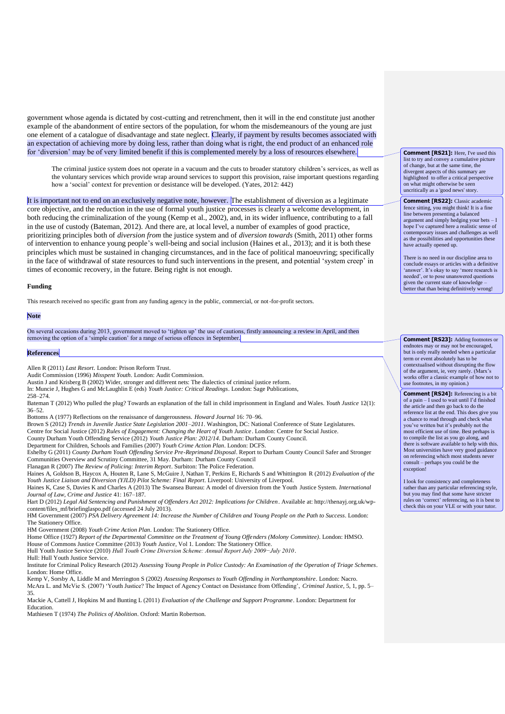government whose agenda is dictated by cost-cutting and retrenchment, then it will in the end constitute just another example of the abandonment of entire sectors of the population, for whom the misdemeanours of the young are just one element of a catalogue of disadvantage and state neglect. Clearly, if payment by results becomes associated with an expectation of achieving more by doing less, rather than doing what is right, the end product of an enhanced role for 'diversion' may be of very limited benefit if this is complemented merely by a loss of resources elsewhere.

The criminal justice system does not operate in a vacuum and the cuts to broader statutory children's services, as well as the voluntary services which provide wrap around services to support this provision, raise important questions regarding how a 'social' context for prevention or desistance will be developed. (Yates, 2012: 442)

It is important not to end on an exclusively negative note, however. The establishment of diversion as a legitimate core objective, and the reduction in the use of formal youth justice processes is clearly a welcome development, in both reducing the criminalization of the young (Kemp et al., 2002), and, in its wider influence, contributing to a fall in the use of custody (Bateman, 2012). And there are, at local level, a number of examples of good practice, prioritizing principles both of *diversion from* the justice system and of *diversion towards* (Smith, 2011) other forms of intervention to enhance young people's well-being and social inclusion (Haines et al., 2013); and it is both these principles which must be sustained in changing circumstances, and in the face of political manoeuvring; specifically in the face of withdrawal of state resources to fund such interventions in the present, and potential 'system creep' in times of economic recovery, in the future. Being right is not enough.

#### **Funding**

This research received no specific grant from any funding agency in the public, commercial, or not-for-profit sectors.

#### **Note**

On several occasions during 2013, government moved to 'tighten up' the use of cautions, firstly announcing a review in April, and then removing the option of a 'simple caution' for a range of serious offences in September.

#### **References**

Allen R (2011) *Last Resort*. London: Prison Reform Trust.

Audit Commission (1996) *Misspent Youth*. London: Audit Commission.

Austin J and Krisberg B (2002) Wider, stronger and different nets: The dialectics of criminal justice reform. In: Muncie J, Hughes G and McLaughlin E (eds) *Youth Justice: Critical Readings*. London: Sage Publications,

258–274.

Bateman T (2012) Who pulled the plug? Towards an explanation of the fall in child imprisonment in England and Wales. *Youth Justice* 12(1): 36–52.

Bottoms A (1977) Reflections on the renaissance of dangerousness. *Howard Journal* 16: 70–96.

Brown S (2012) *Trends in Juvenile Justice State Legislation 2001–2011*. Washington, DC: National Conference of State Legislatures. Centre for Social Justice (2012) *Rules of Engagement: Changing the Heart of Youth Justice*. London: Centre for Social Justice.

County Durham Youth Offending Service (2012) *Youth Justice Plan: 2012/14*. Durham: Durham County Council.

Department for Children, Schools and Families (2007) *Youth Crime Action Plan*. London: DCFS.

Eshelby G (2011) *County Durham Youth Offending Service Pre-Reprimand Disposal*. Report to Durham County Council Safer and Stronger Communities Overview and Scrutiny Committee, 31 May. Durham: Durham County Council

Flanagan R (2007) *The Review of Policing: Interim Report*. Surbiton: The Police Federation.

Haines A, Goldson B, Haycox A, Houten R, Lane S, McGuire J, Nathan T, Perkins E, Richards S and Whittington R (2012) *Evaluation of the Youth Justice Liaison and Diversion (YJLD) Pilot Scheme: Final Report*. Liverpool: University of Liverpool. Haines K, Case S, Davies K and Charles A (2013) The Swansea Bureau: A model of diversion from the Youth Justice System. *International* 

*Journal of Law, Crime and Justice* 41: 167–187. Hart D (2012) *Legal Aid Sentencing and Punishment of Offenders Act 2012: Implications for Children*. Available at: http://thenayj.org.uk/wp-

content/files\_mf/briefinglaspo.pdf (accessed 24 July 2013).

HM Government (2007) *PSA Delivery Agreement 14: Increase the Number of Children and Young People on the Path to Success*. London: The Stationery Office.

HM Government (2008) *Youth Crime Action Plan*. London: The Stationery Office.

Home Office (1927) *Report of the Departmental Committee on the Treatment of Young Offenders (Molony Committee)*. London: HMSO. House of Commons Justice Committee (2013) *Youth Justice*, Vol 1. London: The Stationery Office.

Hull Youth Justice Service (2010) *Hull Youth Crime Diversion Scheme: Annual Report July 2009−July 2010*.

Hull: Hull Youth Justice Service.

Institute for Criminal Policy Research (2012) *Assessing Young People in Police Custody: An Examination of the Operation of Triage Schemes*. London: Home Office.

Kemp V, Sorsby A, Liddle M and Merrington S (2002) *Assessing Responses to Youth Offending in Northamptonshire*. London: Nacro. McAra L. and McVie S. (2007) 'Youth Justice? The Impact of Agency Contact on Desistance from Offending', *Criminal Justice*, 5, 1, pp. 5– 35.

Mackie A, Cattell J, Hopkins M and Bunting L (2011) *Evaluation of the Challenge and Support Programme*. London: Department for Education.

Mathiesen T (1974) *The Politics of Abolition*. Oxford: Martin Robertson.

**Comment [RS21]:** Here, I've used this list to try and convey a cumulative picture of change, but at the same time, the divergent aspects of this summary are highlighted to offer a critical perspective on what might otherwise be seen uncritically as a 'good news' story.

**Comment [RS22]:** Classic academic fence sitting, you might think! It is a fine line between presenting a balanced argument and simply hedging your bets – I hope I've captured here a realistic sense of temporary issues and challenges as well as the possibilities and opportunities these have actually opened up.

There is no need in our discipline area to conclude essays or articles with a definitive 'answer'. It's okay to say 'more research is needed', or to pose unanswered questions given the current state of knowledge – better that than being definitively wrong!

**Comment [RS23]:** Adding footnotes or endnotes may or may not be encouraged, but is only really needed when a particular term or event absolutely has to be contextualised without disrupting the flow of the argument, ie, very rarely. (Marx's works offer a classic example of how not to use footnotes, in my opinion.)

**Comment [RS24]:** Referencing is a bit of a pain – I used to wait until I'd finished the article and then go back to do the reference list at the end. This does give you a chance to read through and check what you've written but it's probably not the most efficient use of time. Best perhaps is to compile the list as you go along, and there is software available to help with this. Most universities have very good guidance on referencing which most students never consult – perhaps you could be the exception!

I look for consistency and completeness rather than any particular referencing style, but you may find that some have stricter rules on 'correct' referencing, so it is best to check this on your VLE or with your tutor.